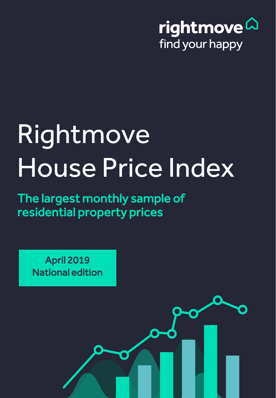

# Rightmove House Price Index

The largest monthly sample of residential property prices

> Copyright © 2019, Rightmove plc. Released 15th April. For media enquiries and interviews please contact the Rightmove press office: T | 020 7087 0605 M | 07894 255295 or E | amy.murphy@rightmove.co.uk

April 2019 National edition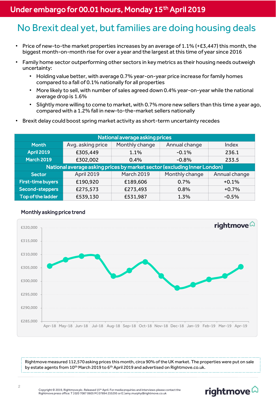## Under embargo for 00.01 hours, Monday 15<sup>th</sup> April 2019

## No Brexit deal yet, but families are doing housing deals

- Price of new-to-the market properties increases by an average of 1.1% (+£3,447) this month, the biggest month-on-month rise for over a year and the largest at this time of year since 2016
- Family home sector outperforming other sectors in key metrics as their housing needs outweigh uncertainty:
	- Holding value better, with average 0.7% year-on-year price increase for family homes compared to a fall of 0.1% nationally for all properties
	- More likely to sell, with number of sales agreed down 0.4% year-on-year while the national average drop is 1.6%
	- Slightly more willing to come to market, with 0.7% more new sellers than this time a year ago, compared with a 1.2% fall in new-to-the-market sellers nationally
- Brexit delay could boost spring market activity as short-term uncertainty recedes

| National average asking prices                                           |                   |                   |                |               |  |
|--------------------------------------------------------------------------|-------------------|-------------------|----------------|---------------|--|
| <b>Month</b>                                                             | Avg. asking price | Monthly change    | Annual change  | Index         |  |
| <b>April 2019</b>                                                        | £305,449          | 1.1%              | $-0.1%$        | 236.1         |  |
| <b>March 2019</b>                                                        | £302,002          | $0.4\%$           | $-0.8%$        | 233.5         |  |
| National average asking prices by market sector (excluding Inner London) |                   |                   |                |               |  |
| <b>Sector</b>                                                            | April 2019        | <b>March 2019</b> | Monthly change | Annual change |  |
| <b>First-time buyers</b>                                                 | £190,920          | £189,606          | 0.7%           | $+0.1%$       |  |
| Second-steppers                                                          | £275,573          | £273,493          | 0.8%           | $+0.7%$       |  |
| Top of the ladder                                                        | £539,130          | £531,987          | 1.3%           | $-0.5%$       |  |





Rightmove measured 112,570 asking prices this month, circa 90% of the UK market. The properties were put on sale by estate agents from 10<sup>th</sup> March 2019 to 6<sup>th</sup> April 2019 and advertised on Rightmove.co.uk.

# rightmove<sup>2</sup>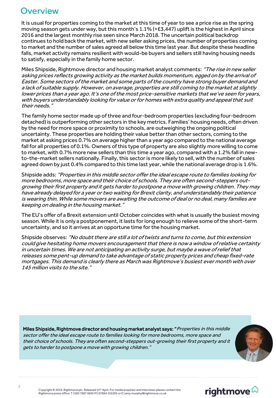## **Overview**

It is usual for properties coming to the market at this time of year to see a price rise as the spring moving season gets under way, but this month's 1.1% (+£3,447) uplift is the highest in April since 2016 and the largest monthly rise seen since March 2018. The uncertain political backdrop continues to hold back the market, with new seller asking prices, the number of properties coming to market and the number of sales agreed all below this time last year. But despite these headline falls, market activity remains resilient with would-be buyers and sellers still having housing needs to satisfy, especially in the family home sector.

Miles Shipside, Rightmove director and housing market analyst comments: "The rise in new seller asking prices reflects growing activity as the market builds momentum, egged on by the arrival of Easter. Some sectors of the market and some parts of the country have strong buyer demand and a lack of suitable supply. However, on average, properties are still coming to the market at slightly lower prices than a year ago. It's one of the most price-sensitive markets that we've seen for years, with buyers understandably looking for value or for homes with extra quality and appeal that suit their needs."

The family home sector made up of three and four-bedroom properties (excluding four-bedroom detached) is outperforming other sectors in the key metrics. Families' housing needs, often driven by the need for more space or proximity to schools, are outweighing the ongoing political uncertainty. These properties are holding their value better than other sectors, coming to the market at asking prices 0.7% on average higher than a year ago compared to the national average fall for all properties of 0.1%. Owners of this type of property are also slightly more willing to come to market, with 0.7% more new sellers than this time a year ago, compared with a 1.2% fall in newto-the-market sellers nationally. Finally, this sector is more likely to sell, with the number of sales agreed down by just 0.4% compared to this time last year, while the national average drop is 1.6%.

Shipside adds: "Properties in this middle sector offer the ideal escape route to families looking for more bedrooms, more space and their choice of schools. They are often second-steppers outgrowing their first property and it gets harder to postpone a move with growing children. They may have already delayed for a year or two waiting for Brexit clarity, and understandably their patience is wearing thin. While some movers are awaiting the outcome of deal or no deal, many families are keeping on dealing in the housing market."

The EU's offer of a Brexit extension until October coincides with what is usually the busiest moving season. While it is only a postponement, it lasts for long enough to relieve some of the short-term uncertainty, and so it arrives at an opportune time for the housing market.

Shipside observes: "No doubt there are still a lot of twists and turns to come, but this extension could give hesitating home movers encouragement that there is now a window of relative certainty in uncertain times. We are not anticipating an activity surge, but maybe a wave of relief that releases some pent-up demand to take advantage of static property prices and cheap fixed-rate mortgages. This demand is clearly there as March was Rightmove's busiest ever month with over 145 million visits to the site."

Miles Shipside, Rightmove director and housing market analyst says: "Properties in this middle sector offer the ideal escape route to families looking for more bedrooms, more space and their choice of schools. They are often second-steppers out-growing their first property and it gets to harder to postpone a move with growing children."



# rightmove<sup>2</sup>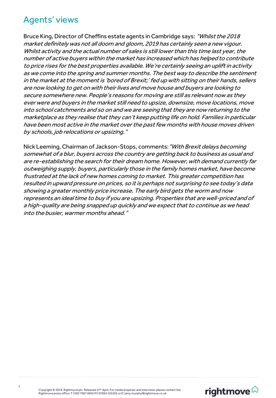## Agents' views

Bruce King, Director of Cheffins estate agents in Cambridge says: "Whilst the 2018 market definitely was not all doom and gloom, 2019 has certainly seen a new vigour. Whilst activity and the actual number of sales is still lower than this time last year, the number of active buyers within the market has increased which has helped to contribute to price rises for the best properties available. We're certainly seeing an uplift in activity as we come into the spring and summer months. The best way to describe the sentiment in the market at the moment is 'bored of Brexit;' fed up with sitting on their hands, sellers are now looking to get on with their lives and move house and buyers are looking to secure somewhere new. People's reasons for moving are still as relevant now as they ever were and buyers in the market still need to upsize, downsize, move locations, move into school catchments and so on and we are seeing that they are now returning to the marketplace as they realise that they can't keep putting life on hold. Families in particular have been most active in the market over the past few months with house moves driven by schools, job relocations or upsizing."

Nick Leeming, Chairman of Jackson-Stops, comments: "With Brexit delays becoming somewhat of a blur, buyers across the country are getting back to business as usual and are re-establishing the search for their dream home. However, with demand currently far outweighing supply, buyers, particularly those in the family homes market, have become frustrated at the lack of new homes coming to market. This greater competition has resulted in upward pressure on prices, so it is perhaps not surprising to see today's data showing a greater monthly price increase. The early bird gets the worm and now represents an ideal time to buy if you are upsizing. Properties that are well-priced and of a high-quality are being snapped up quickly and we expect that to continue as we head into the busier, warmer months ahead."

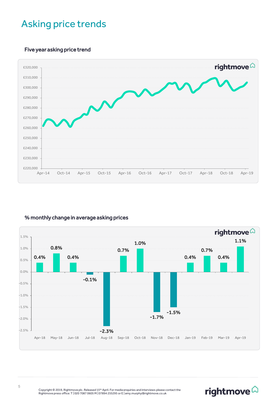# Asking price trends

### Five year asking price trend



#### % monthly change in average asking prices



rightmove $\widehat{\omega}$ 

Copyright © 2019, Rightmove plc. Released 15<sup>th</sup> April. For media enquiries and interviews please contact the<br>Rightmove press office: T | 020 7087 0605 M | 07894 255295 or E | amy.murphy@rightmove.co.uk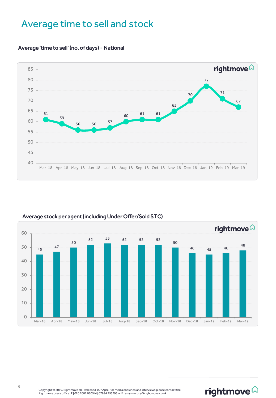## Average time to sell and stock



#### Average 'time to sell' (no. of days) - National



#### Average stock per agent (including Under Offer/Sold STC)

# rightmove $\widehat{\omega}$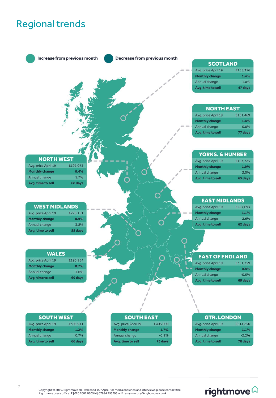# Regional trends



# rightmove<sup>2</sup>

Copyright © 2019, Rightmove plc. Released 15<sup>th</sup> April. For media enquiries and interviews please contact the<br>Rightmove press office: T | 020 7087 0605 M | 07894 255295 or E | amy.murphy@rightmove.co.uk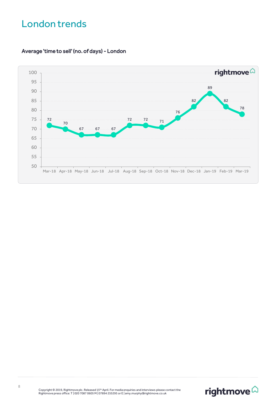# London trends



## Average 'time to sell' (no. of days) - London

Copyright © 2019, Rightmove plc. Released 15<sup>th</sup> April. For media enquiries and interviews please contact the<br>Rightmove press office: T | 020 7087 0605 M | 07894 255295 or E | amy.murphy@rightmove.co.uk

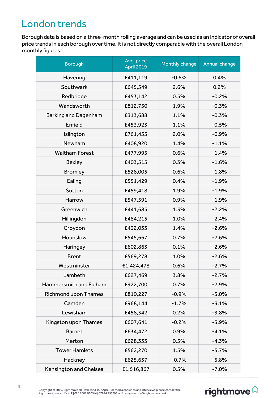# London trends

Borough data is based on a three-month rolling average and can be used as an indicator of overall price trends in each borough over time. It is not directly comparable with the overall London monthly figures.

| <b>Borough</b>              | Avg. price<br>April 2019 | Monthly change | Annual change |
|-----------------------------|--------------------------|----------------|---------------|
| Havering                    | £411,119                 | $-0.6%$        | 0.4%          |
| Southwark                   | £645,549                 | 2.6%           | 0.2%          |
| Redbridge                   | £453,142                 | 0.5%           | $-0.2%$       |
| Wandsworth                  | £812,750                 | 1.9%           | $-0.3%$       |
| <b>Barking and Dagenham</b> | £313,688                 | 1.1%           | $-0.3%$       |
| Enfield                     | £453,923                 | 1.1%           | $-0.5%$       |
| Islington                   | £761,455                 | 2.0%           | $-0.9%$       |
| Newham                      | £408,920                 | 1.4%           | $-1.1%$       |
| <b>Waltham Forest</b>       | £477,995                 | 0.6%           | $-1.4%$       |
| <b>Bexley</b>               | £403,515                 | 0.3%           | $-1.6%$       |
| <b>Bromley</b>              | £528,005                 | 0.6%           | $-1.8%$       |
| Ealing                      | £551,429                 | 0.4%           | $-1.9%$       |
| Sutton                      | £459,418                 | 1.9%           | $-1.9%$       |
| Harrow                      | £547,591                 | 0.9%           | $-1.9%$       |
| Greenwich                   | £441,685                 | 1.3%           | $-2.2%$       |
| Hillingdon                  | £484,215                 | 1.0%           | $-2.4%$       |
| Croydon                     | £432,033                 | 1.4%           | $-2.6%$       |
| Hounslow                    | £545,667                 | 0.7%           | $-2.6%$       |
| Haringey                    | £602,863                 | 0.1%           | $-2.6%$       |
| <b>Brent</b>                | £569,278                 | 1.0%           | $-2.6%$       |
| Westminster                 | £1,424,478               | 0.6%           | $-2.7%$       |
| Lambeth                     | £627,469                 | 3.8%           | $-2.7%$       |
| Hammersmith and Fulham      | £922,700                 | 0.7%           | $-2.9%$       |
| Richmond upon Thames        | £810,227                 | $-0.9%$        | $-3.0%$       |
| Camden                      | £968,144                 | $-1.7%$        | $-3.1%$       |
| Lewisham                    | £458,342                 | 0.2%           | $-3.8%$       |
| Kingston upon Thames        | £607,641                 | $-0.2%$        | $-3.9%$       |
| <b>Barnet</b>               | £634,472                 | 0.9%           | $-4.1%$       |
| Merton                      | £628,333                 | 0.5%           | $-4.3%$       |
| <b>Tower Hamlets</b>        | £562,270                 | 1.5%           | $-5.7%$       |
| Hackney                     | £625,637                 | $-0.7%$        | $-5.8%$       |
| Kensington and Chelsea      | £1,516,867               | 0.5%           | $-7.0%$       |



# rightmove $\widehat{\omega}$